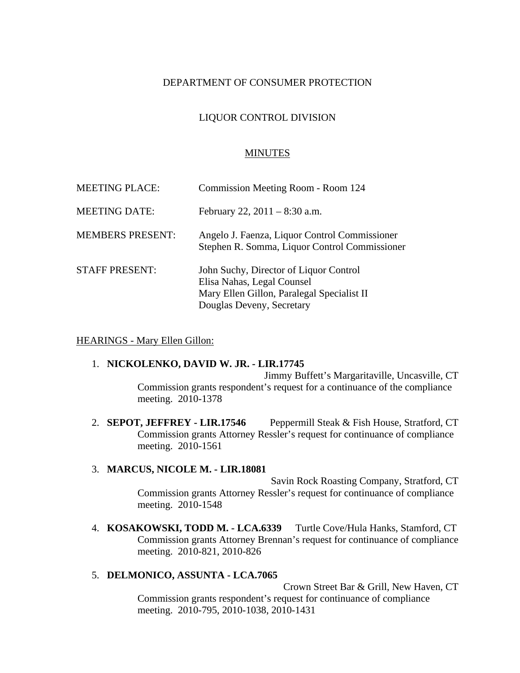# DEPARTMENT OF CONSUMER PROTECTION

# LIQUOR CONTROL DIVISION

### MINUTES

| <b>MEETING PLACE:</b>   | Commission Meeting Room - Room 124                                                                                                              |
|-------------------------|-------------------------------------------------------------------------------------------------------------------------------------------------|
| <b>MEETING DATE:</b>    | February 22, $2011 - 8:30$ a.m.                                                                                                                 |
| <b>MEMBERS PRESENT:</b> | Angelo J. Faenza, Liquor Control Commissioner<br>Stephen R. Somma, Liquor Control Commissioner                                                  |
| <b>STAFF PRESENT:</b>   | John Suchy, Director of Liquor Control<br>Elisa Nahas, Legal Counsel<br>Mary Ellen Gillon, Paralegal Specialist II<br>Douglas Deveny, Secretary |

#### HEARINGS - Mary Ellen Gillon:

#### 1. **NICKOLENKO, DAVID W. JR. - LIR.17745**

Jimmy Buffett's Margaritaville, Uncasville, CT Commission grants respondent's request for a continuance of the compliance meeting. 2010-1378

2. **SEPOT, JEFFREY - LIR.17546** Peppermill Steak & Fish House, Stratford, CT Commission grants Attorney Ressler's request for continuance of compliance meeting. 2010-1561

#### 3. **MARCUS, NICOLE M. - LIR.18081**

Savin Rock Roasting Company, Stratford, CT Commission grants Attorney Ressler's request for continuance of compliance meeting. 2010-1548

4. **KOSAKOWSKI, TODD M. - LCA.6339** Turtle Cove/Hula Hanks, Stamford, CT Commission grants Attorney Brennan's request for continuance of compliance meeting. 2010-821, 2010-826

### 5. **DELMONICO, ASSUNTA - LCA.7065**

Crown Street Bar & Grill, New Haven, CT Commission grants respondent's request for continuance of compliance meeting. 2010-795, 2010-1038, 2010-1431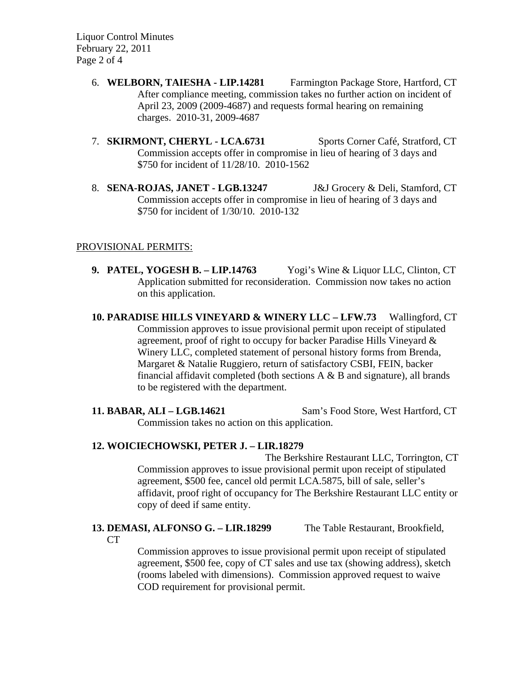Liquor Control Minutes February 22, 2011 Page 2 of 4

- 6. **WELBORN, TAIESHA LIP.14281** Farmington Package Store, Hartford, CT After compliance meeting, commission takes no further action on incident of April 23, 2009 (2009-4687) and requests formal hearing on remaining charges. 2010-31, 2009-4687
- 7. **SKIRMONT, CHERYL LCA.6731** Sports Corner Café, Stratford, CT Commission accepts offer in compromise in lieu of hearing of 3 days and \$750 for incident of 11/28/10. 2010-1562
- 8. **SENA-ROJAS, JANET LGB.13247** J&J Grocery & Deli, Stamford, CT Commission accepts offer in compromise in lieu of hearing of 3 days and \$750 for incident of 1/30/10. 2010-132

# PROVISIONAL PERMITS:

**9. PATEL, YOGESH B. – LIP.14763** Yogi's Wine & Liquor LLC, Clinton, CT Application submitted for reconsideration. Commission now takes no action on this application.

**10. PARADISE HILLS VINEYARD & WINERY LLC – LFW.73** Wallingford, CT Commission approves to issue provisional permit upon receipt of stipulated agreement, proof of right to occupy for backer Paradise Hills Vineyard & Winery LLC, completed statement of personal history forms from Brenda, Margaret & Natalie Ruggiero, return of satisfactory CSBI, FEIN, backer financial affidavit completed (both sections  $A \& B$  and signature), all brands to be registered with the department.

**11. BABAR, ALI – LGB.14621** Sam's Food Store, West Hartford, CT Commission takes no action on this application.

# **12. WOICIECHOWSKI, PETER J. – LIR.18279**

The Berkshire Restaurant LLC, Torrington, CT Commission approves to issue provisional permit upon receipt of stipulated agreement, \$500 fee, cancel old permit LCA.5875, bill of sale, seller's affidavit, proof right of occupancy for The Berkshire Restaurant LLC entity or copy of deed if same entity.

## **13. DEMASI, ALFONSO G. – LIR.18299** The Table Restaurant, Brookfield, CT

Commission approves to issue provisional permit upon receipt of stipulated agreement, \$500 fee, copy of CT sales and use tax (showing address), sketch (rooms labeled with dimensions). Commission approved request to waive COD requirement for provisional permit.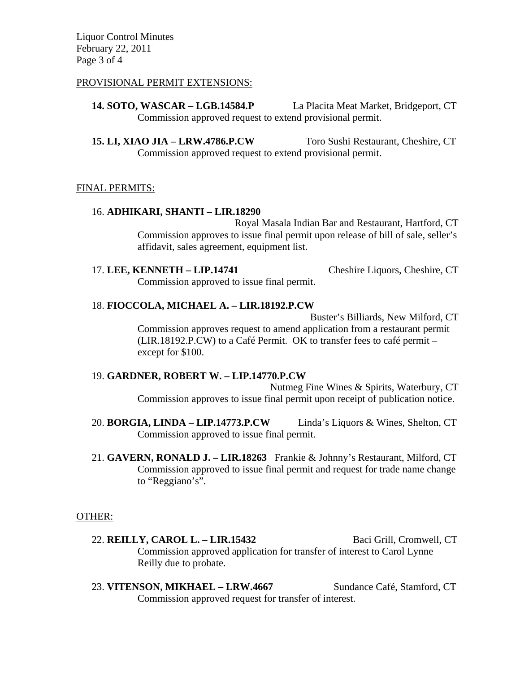Liquor Control Minutes February 22, 2011 Page 3 of 4

### PROVISIONAL PERMIT EXTENSIONS:

**14. SOTO, WASCAR – LGB.14584.P** La Placita Meat Market, Bridgeport, CT Commission approved request to extend provisional permit.

**15. LI, XIAO JIA – LRW.4786.P.CW** Toro Sushi Restaurant, Cheshire, CT Commission approved request to extend provisional permit.

### FINAL PERMITS:

### 16. **ADHIKARI, SHANTI – LIR.18290**

Royal Masala Indian Bar and Restaurant, Hartford, CT Commission approves to issue final permit upon release of bill of sale, seller's affidavit, sales agreement, equipment list.

17. **LEE, KENNETH – LIP.14741** Cheshire Liquors, Cheshire, CT Commission approved to issue final permit.

### 18. **FIOCCOLA, MICHAEL A. – LIR.18192.P.CW**

Buster's Billiards, New Milford, CT Commission approves request to amend application from a restaurant permit (LIR.18192.P.CW) to a Café Permit. OK to transfer fees to café permit – except for \$100.

# 19. **GARDNER, ROBERT W. – LIP.14770.P.CW**

Nutmeg Fine Wines & Spirits, Waterbury, CT Commission approves to issue final permit upon receipt of publication notice.

- 20. **BORGIA, LINDA LIP.14773.P.CW** Linda's Liquors & Wines, Shelton, CT Commission approved to issue final permit.
- 21. **GAVERN, RONALD J. LIR.18263** Frankie & Johnny's Restaurant, Milford, CT Commission approved to issue final permit and request for trade name change to "Reggiano's".

### OTHER:

- 22. **REILLY, CAROL L. LIR.15432** Baci Grill, Cromwell, CT Commission approved application for transfer of interest to Carol Lynne Reilly due to probate.
- 23. **VITENSON, MIKHAEL LRW.4667** Sundance Café, Stamford, CT Commission approved request for transfer of interest.